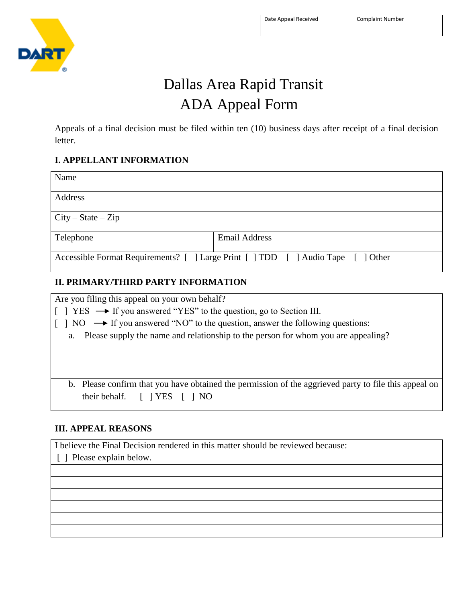

# Dallas Area Rapid Transit ADA Appeal Form

Appeals of a final decision must be filed within ten (10) business days after receipt of a final decision letter.

#### **I. APPELLANT INFORMATION**

| Name                                                                             |                      |  |  |
|----------------------------------------------------------------------------------|----------------------|--|--|
| Address                                                                          |                      |  |  |
| $\text{City} - \text{State} - \text{Zip}$                                        |                      |  |  |
| Telephone                                                                        | <b>Email Address</b> |  |  |
| Accessible Format Requirements? [ ] Large Print [ ] TDD [ ] Audio Tape [ ] Other |                      |  |  |

#### **II. PRIMARY/THIRD PARTY INFORMATION**

| Are you filing this appeal on your own behalf?                                                                                 |  |  |
|--------------------------------------------------------------------------------------------------------------------------------|--|--|
| $\vert \vert$ YES $\rightarrow$ If you answered "YES" to the question, go to Section III.                                      |  |  |
| $\begin{bmatrix} 1 & 1 & 10 & \rightarrow \end{bmatrix}$ If you answered "NO" to the question, answer the following questions: |  |  |
| a. Please supply the name and relationship to the person for whom you are appealing?                                           |  |  |
|                                                                                                                                |  |  |
|                                                                                                                                |  |  |
|                                                                                                                                |  |  |
| b. Please confirm that you have obtained the permission of the aggrieved party to file this appeal on                          |  |  |
| their behalf. $\begin{bmatrix} \n\end{bmatrix} \begin{bmatrix} YES \\ I \end{bmatrix} \begin{bmatrix} NO \end{bmatrix}$        |  |  |

### **III. APPEAL REASONS**

I believe the Final Decision rendered in this matter should be reviewed because:

[ ] Please explain below.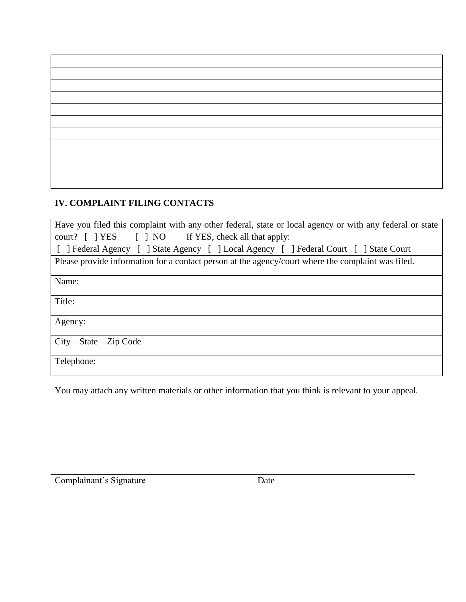## **IV. COMPLAINT FILING CONTACTS**

| Have you filed this complaint with any other federal, state or local agency or with any federal or state |  |  |  |
|----------------------------------------------------------------------------------------------------------|--|--|--|
| court? [ ] YES [ ] NO If YES, check all that apply:                                                      |  |  |  |
| [ ] Federal Agency [ ] State Agency [ ] Local Agency [ ] Federal Court [ ] State Court                   |  |  |  |
| Please provide information for a contact person at the agency/court where the complaint was filed.       |  |  |  |
| Name:                                                                                                    |  |  |  |
| Title:                                                                                                   |  |  |  |
| Agency:                                                                                                  |  |  |  |
| $City - State - Zip Code$                                                                                |  |  |  |
| Telephone:                                                                                               |  |  |  |

You may attach any written materials or other information that you think is relevant to your appeal.

Complainant's Signature Date